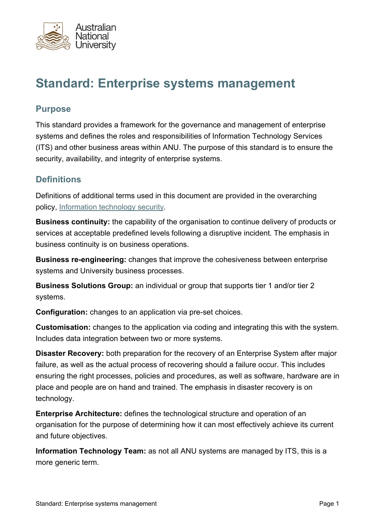

# **Standard: Enterprise systems management**

## **Purpose**

This standard provides a framework for the governance and management of enterprise systems and defines the roles and responsibilities of Information Technology Services (ITS) and other business areas within ANU. The purpose of this standard is to ensure the security, availability, and integrity of enterprise systems.

## **Definitions**

Definitions of additional terms used in this document are provided in the overarching policy, [Information technology security](https://policies.anu.edu.au/ppl/document/ANUP_000421).

**Business continuity:** the capability of the organisation to continue delivery of products or services at acceptable predefined levels following a disruptive incident. The emphasis in business continuity is on business operations.

**Business re-engineering:** changes that improve the cohesiveness between enterprise systems and University business processes.

**Business Solutions Group:** an individual or group that supports tier 1 and/or tier 2 systems.

**Configuration:** changes to an application via pre-set choices.

**Customisation:** changes to the application via coding and integrating this with the system. Includes data integration between two or more systems.

**Disaster Recovery:** both preparation for the recovery of an Enterprise System after major failure, as well as the actual process of recovering should a failure occur. This includes ensuring the right processes, policies and procedures, as well as software, hardware are in place and people are on hand and trained. The emphasis in disaster recovery is on technology.

**Enterprise Architecture:** defines the technological structure and operation of an organisation for the purpose of determining how it can most effectively achieve its current and future objectives.

**Information Technology Team:** as not all ANU systems are managed by ITS, this is a more generic term.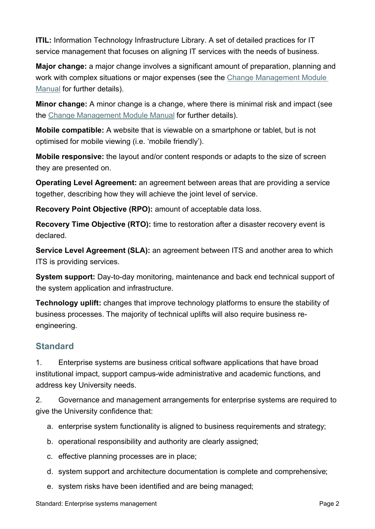**ITIL:** Information Technology Infrastructure Library. A set of detailed practices for IT service management that focuses on aligning IT services with the needs of business.

**Major change:** a major change involves a significant amount of preparation, planning and work with complex situations or major expenses (see the [Change Management Module](https://erms.anu.edu.au/wcc/faces/wccdoc?dDocName=ERMS2160338)  [Manual](https://erms.anu.edu.au/wcc/faces/wccdoc?dDocName=ERMS2160338) for further details).

**Minor change:** A minor change is a change, where there is minimal risk and impact (see the [Change Management Module Manual](https://erms.anu.edu.au/wcc/faces/wccdoc?dDocName=ERMS2160338) for further details).

**Mobile compatible:** A website that is viewable on a smartphone or tablet, but is not optimised for mobile viewing (i.e. 'mobile friendly').

**Mobile responsive:** the layout and/or content responds or adapts to the size of screen they are presented on.

**Operating Level Agreement:** an agreement between areas that are providing a service together, describing how they will achieve the joint level of service.

**Recovery Point Objective (RPO):** amount of acceptable data loss.

**Recovery Time Objective (RTO):** time to restoration after a disaster recovery event is declared.

**Service Level Agreement (SLA):** an agreement between ITS and another area to which ITS is providing services.

**System support:** Day-to-day monitoring, maintenance and back end technical support of the system application and infrastructure.

**Technology uplift:** changes that improve technology platforms to ensure the stability of business processes. The majority of technical uplifts will also require business reengineering.

## **Standard**

1. Enterprise systems are business critical software applications that have broad institutional impact, support campus-wide administrative and academic functions, and address key University needs.

2. Governance and management arrangements for enterprise systems are required to give the University confidence that:

- a. enterprise system functionality is aligned to business requirements and strategy;
- b. operational responsibility and authority are clearly assigned;
- c. effective planning processes are in place;
- d. system support and architecture documentation is complete and comprehensive;
- e. system risks have been identified and are being managed;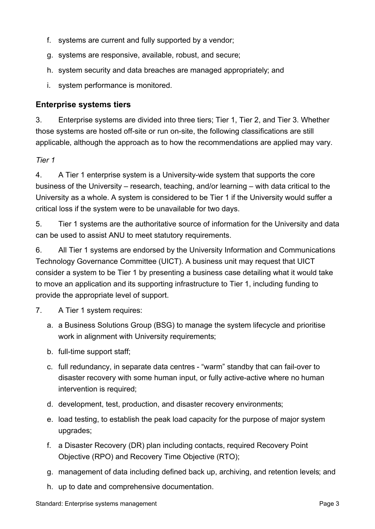- f. systems are current and fully supported by a vendor;
- g. systems are responsive, available, robust, and secure;
- h. system security and data breaches are managed appropriately; and
- i. system performance is monitored.

#### **Enterprise systems tiers**

3. Enterprise systems are divided into three tiers; Tier 1, Tier 2, and Tier 3. Whether those systems are hosted off-site or run on-site, the following classifications are still applicable, although the approach as to how the recommendations are applied may vary.

*Tier 1*

4. A Tier 1 enterprise system is a University-wide system that supports the core business of the University – research, teaching, and/or learning – with data critical to the University as a whole. A system is considered to be Tier 1 if the University would suffer a critical loss if the system were to be unavailable for two days.

5. Tier 1 systems are the authoritative source of information for the University and data can be used to assist ANU to meet statutory requirements.

6. All Tier 1 systems are endorsed by the University Information and Communications Technology Governance Committee (UICT). A business unit may request that UICT consider a system to be Tier 1 by presenting a business case detailing what it would take to move an application and its supporting infrastructure to Tier 1, including funding to provide the appropriate level of support.

- 7. A Tier 1 system requires:
	- a. a Business Solutions Group (BSG) to manage the system lifecycle and prioritise work in alignment with University requirements;
	- b. full-time support staff;
	- c. full redundancy, in separate data centres "warm" standby that can fail-over to disaster recovery with some human input, or fully active-active where no human intervention is required;
	- d. development, test, production, and disaster recovery environments;
	- e. load testing, to establish the peak load capacity for the purpose of major system upgrades;
	- f. a Disaster Recovery (DR) plan including contacts, required Recovery Point Objective (RPO) and Recovery Time Objective (RTO);
	- g. management of data including defined back up, archiving, and retention levels; and
	- h. up to date and comprehensive documentation.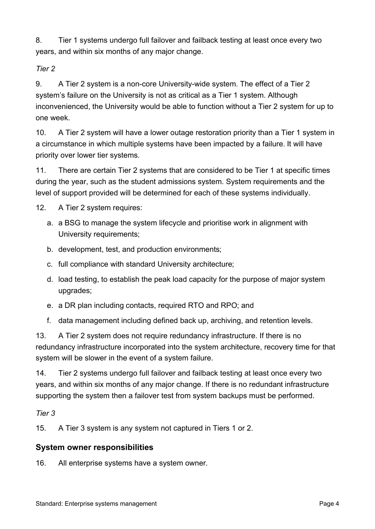8. Tier 1 systems undergo full failover and failback testing at least once every two years, and within six months of any major change.

*Tier 2*

9. A Tier 2 system is a non-core University-wide system. The effect of a Tier 2 system's failure on the University is not as critical as a Tier 1 system. Although inconvenienced, the University would be able to function without a Tier 2 system for up to one week.

10. A Tier 2 system will have a lower outage restoration priority than a Tier 1 system in a circumstance in which multiple systems have been impacted by a failure. It will have priority over lower tier systems.

11. There are certain Tier 2 systems that are considered to be Tier 1 at specific times during the year, such as the student admissions system. System requirements and the level of support provided will be determined for each of these systems individually.

12. A Tier 2 system requires:

- a. a BSG to manage the system lifecycle and prioritise work in alignment with University requirements;
- b. development, test, and production environments;
- c. full compliance with standard University architecture;
- d. load testing, to establish the peak load capacity for the purpose of major system upgrades;
- e. a DR plan including contacts, required RTO and RPO; and
- f. data management including defined back up, archiving, and retention levels.

13. A Tier 2 system does not require redundancy infrastructure. If there is no redundancy infrastructure incorporated into the system architecture, recovery time for that system will be slower in the event of a system failure.

14. Tier 2 systems undergo full failover and failback testing at least once every two years, and within six months of any major change. If there is no redundant infrastructure supporting the system then a failover test from system backups must be performed.

## *Tier 3*

15. A Tier 3 system is any system not captured in Tiers 1 or 2.

## **System owner responsibilities**

16. All enterprise systems have a system owner.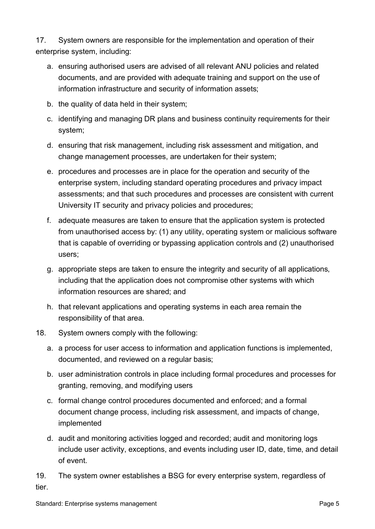17. System owners are responsible for the implementation and operation of their enterprise system, including:

- a. ensuring authorised users are advised of all relevant ANU policies and related documents, and are provided with adequate training and support on the use of information infrastructure and security of information assets;
- b. the quality of data held in their system;
- c. identifying and managing DR plans and business continuity requirements for their system;
- d. ensuring that risk management, including risk assessment and mitigation, and change management processes, are undertaken for their system;
- e. procedures and processes are in place for the operation and security of the enterprise system, including standard operating procedures and privacy impact assessments; and that such procedures and processes are consistent with current University IT security and privacy policies and procedures;
- f. adequate measures are taken to ensure that the application system is protected from unauthorised access by: (1) any utility, operating system or malicious software that is capable of overriding or bypassing application controls and (2) unauthorised users;
- g. appropriate steps are taken to ensure the integrity and security of all applications, including that the application does not compromise other systems with which information resources are shared; and
- h. that relevant applications and operating systems in each area remain the responsibility of that area.
- 18. System owners comply with the following:
	- a. a process for user access to information and application functions is implemented, documented, and reviewed on a regular basis;
	- b. user administration controls in place including formal procedures and processes for granting, removing, and modifying users
	- c. formal change control procedures documented and enforced; and a formal document change process, including risk assessment, and impacts of change, implemented
	- d. audit and monitoring activities logged and recorded; audit and monitoring logs include user activity, exceptions, and events including user ID, date, time, and detail of event.

19. The system owner establishes a BSG for every enterprise system, regardless of tier.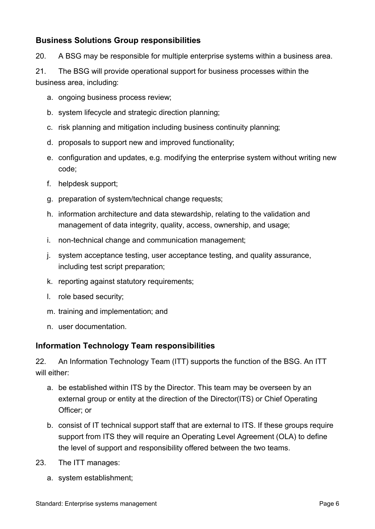## **Business Solutions Group responsibilities**

20. A BSG may be responsible for multiple enterprise systems within a business area.

21. The BSG will provide operational support for business processes within the business area, including:

- a. ongoing business process review;
- b. system lifecycle and strategic direction planning;
- c. risk planning and mitigation including business continuity planning;
- d. proposals to support new and improved functionality;
- e. configuration and updates, e.g. modifying the enterprise system without writing new code;
- f. helpdesk support;
- g. preparation of system/technical change requests;
- h. information architecture and data stewardship, relating to the validation and management of data integrity, quality, access, ownership, and usage;
- i. non-technical change and communication management;
- j. system acceptance testing, user acceptance testing, and quality assurance, including test script preparation;
- k. reporting against statutory requirements;
- l. role based security;
- m. training and implementation; and
- n. user documentation.

#### **Information Technology Team responsibilities**

22. An Information Technology Team (ITT) supports the function of the BSG. An ITT will either:

- a. be established within ITS by the Director. This team may be overseen by an external group or entity at the direction of the Director(ITS) or Chief Operating Officer; or
- b. consist of IT technical support staff that are external to ITS. If these groups require support from ITS they will require an Operating Level Agreement (OLA) to define the level of support and responsibility offered between the two teams.
- 23. The ITT manages:
	- a. system establishment;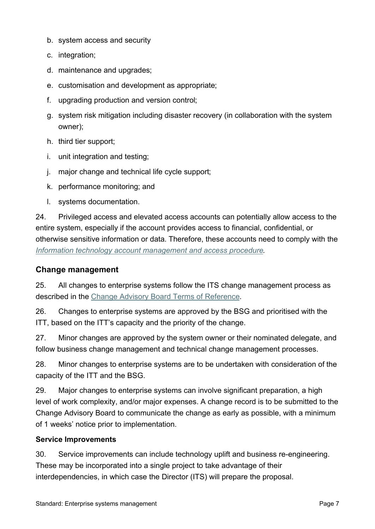- b. system access and security
- c. integration;
- d. maintenance and upgrades;
- e. customisation and development as appropriate;
- f. upgrading production and version control;
- g. system risk mitigation including disaster recovery (in collaboration with the system owner);
- h. third tier support;
- i. unit integration and testing;
- j. major change and technical life cycle support;
- k. performance monitoring; and
- l. systems documentation.

24. Privileged access and elevated access accounts can potentially allow access to the entire system, especially if the account provides access to financial, confidential, or otherwise sensitive information or data. Therefore, these accounts need to comply with the *[Information technology account management and access procedure](https://policies.anu.edu.au/ppl/document/ANUP_000709).*

#### **Change management**

25. All changes to enterprise systems follow the ITS change management process as described in the [Change Advisory Board Terms of Reference](https://erms.anu.edu.au/wcc/faces/wccdoc?dDocName=ERMS2160339).

26. Changes to enterprise systems are approved by the BSG and prioritised with the ITT, based on the ITT's capacity and the priority of the change.

27. Minor changes are approved by the system owner or their nominated delegate, and follow business change management and technical change management processes.

28. Minor changes to enterprise systems are to be undertaken with consideration of the capacity of the ITT and the BSG.

29. Major changes to enterprise systems can involve significant preparation, a high level of work complexity, and/or major expenses. A change record is to be submitted to the Change Advisory Board to communicate the change as early as possible, with a minimum of 1 weeks' notice prior to implementation.

#### **Service Improvements**

30. Service improvements can include technology uplift and business re-engineering. These may be incorporated into a single project to take advantage of their interdependencies, in which case the Director (ITS) will prepare the proposal.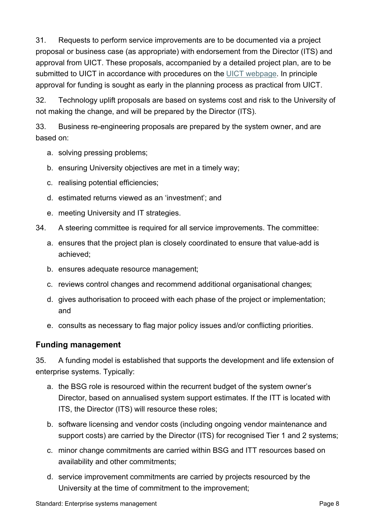31. Requests to perform service improvements are to be documented via a project proposal or business case (as appropriate) with endorsement from the Director (ITS) and approval from UICT. These proposals, accompanied by a detailed project plan, are to be submitted to UICT in accordance with procedures on the [UICT webpage](https://services.anu.edu.au/planning-governance/governance/university-information-communications-technology-governance-committee). In principle approval for funding is sought as early in the planning process as practical from UICT.

32. Technology uplift proposals are based on systems cost and risk to the University of not making the change, and will be prepared by the Director (ITS).

33. Business re-engineering proposals are prepared by the system owner, and are based on:

- a. solving pressing problems;
- b. ensuring University objectives are met in a timely way;
- c. realising potential efficiencies;
- d. estimated returns viewed as an 'investment'; and
- e. meeting University and IT strategies.
- 34. A steering committee is required for all service improvements. The committee:
	- a. ensures that the project plan is closely coordinated to ensure that value-add is achieved;
	- b. ensures adequate resource management;
	- c. reviews control changes and recommend additional organisational changes;
	- d. gives authorisation to proceed with each phase of the project or implementation; and
	- e. consults as necessary to flag major policy issues and/or conflicting priorities.

### **Funding management**

35. A funding model is established that supports the development and life extension of enterprise systems. Typically:

- a. the BSG role is resourced within the recurrent budget of the system owner's Director, based on annualised system support estimates. If the ITT is located with ITS, the Director (ITS) will resource these roles;
- b. software licensing and vendor costs (including ongoing vendor maintenance and support costs) are carried by the Director (ITS) for recognised Tier 1 and 2 systems;
- c. minor change commitments are carried within BSG and ITT resources based on availability and other commitments;
- d. service improvement commitments are carried by projects resourced by the University at the time of commitment to the improvement;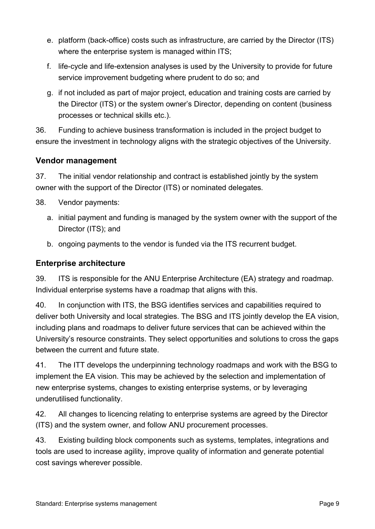- e. platform (back-office) costs such as infrastructure, are carried by the Director (ITS) where the enterprise system is managed within ITS;
- f. life-cycle and life-extension analyses is used by the University to provide for future service improvement budgeting where prudent to do so; and
- g. if not included as part of major project, education and training costs are carried by the Director (ITS) or the system owner's Director, depending on content (business processes or technical skills etc.).

36. Funding to achieve business transformation is included in the project budget to ensure the investment in technology aligns with the strategic objectives of the University.

## **Vendor management**

37. The initial vendor relationship and contract is established jointly by the system owner with the support of the Director (ITS) or nominated delegates.

- 38. Vendor payments:
	- a. initial payment and funding is managed by the system owner with the support of the Director (ITS); and
	- b. ongoing payments to the vendor is funded via the ITS recurrent budget.

## **Enterprise architecture**

39. ITS is responsible for the ANU Enterprise Architecture (EA) strategy and roadmap. Individual enterprise systems have a roadmap that aligns with this.

40. In conjunction with ITS, the BSG identifies services and capabilities required to deliver both University and local strategies. The BSG and ITS jointly develop the EA vision, including plans and roadmaps to deliver future services that can be achieved within the University's resource constraints. They select opportunities and solutions to cross the gaps between the current and future state.

41. The ITT develops the underpinning technology roadmaps and work with the BSG to implement the EA vision. This may be achieved by the selection and implementation of new enterprise systems, changes to existing enterprise systems, or by leveraging underutilised functionality.

42. All changes to licencing relating to enterprise systems are agreed by the Director (ITS) and the system owner, and follow ANU procurement processes.

43. Existing building block components such as systems, templates, integrations and tools are used to increase agility, improve quality of information and generate potential cost savings wherever possible.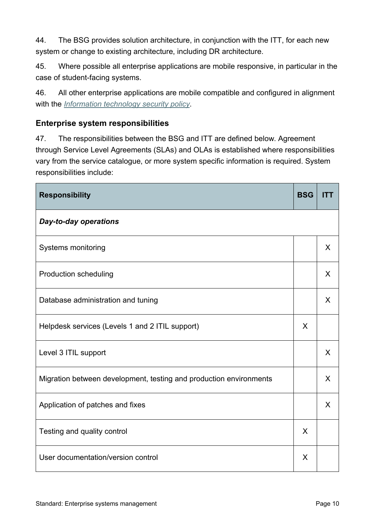44. The BSG provides solution architecture, in conjunction with the ITT, for each new system or change to existing architecture, including DR architecture.

45. Where possible all enterprise applications are mobile responsive, in particular in the case of student-facing systems.

46. All other enterprise applications are mobile compatible and configured in alignment with the *[Information technology security](https://policies.anu.edu.au/ppl/document/ANUP_000421) [policy](https://policies.anu.edu.au/ppl/document/ANUP_000421)*.

## **Enterprise system responsibilities**

47. The responsibilities between the BSG and ITT are defined below. Agreement through Service Level Agreements (SLAs) and OLAs is established where responsibilities vary from the service catalogue, or more system specific information is required. System responsibilities include:

| <b>Responsibility</b>                                              | <b>BSG</b> | <b>ITT</b> |
|--------------------------------------------------------------------|------------|------------|
| <b>Day-to-day operations</b>                                       |            |            |
| Systems monitoring                                                 |            | X          |
| <b>Production scheduling</b>                                       |            | X          |
| Database administration and tuning                                 |            | X          |
| Helpdesk services (Levels 1 and 2 ITIL support)                    | X          |            |
| Level 3 ITIL support                                               |            | X          |
| Migration between development, testing and production environments |            | X          |
| Application of patches and fixes                                   |            | X          |
| Testing and quality control                                        | X          |            |
| User documentation/version control                                 | X          |            |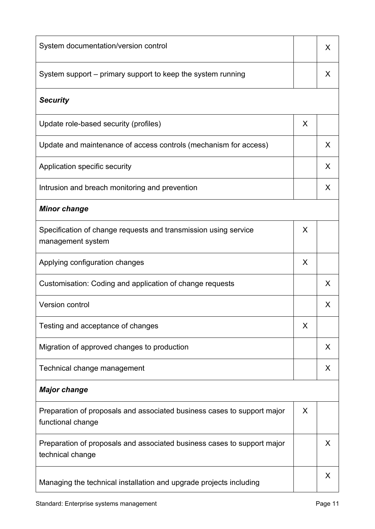| System documentation/version control                                                         |   | X. |
|----------------------------------------------------------------------------------------------|---|----|
| System support – primary support to keep the system running                                  |   | X  |
| <b>Security</b>                                                                              |   |    |
| Update role-based security (profiles)                                                        | X |    |
| Update and maintenance of access controls (mechanism for access)                             |   | X  |
| Application specific security                                                                |   | X  |
| Intrusion and breach monitoring and prevention                                               |   | X  |
| <b>Minor change</b>                                                                          |   |    |
| Specification of change requests and transmission using service<br>management system         | X |    |
| Applying configuration changes                                                               | X |    |
| Customisation: Coding and application of change requests                                     |   | X  |
| <b>Version control</b>                                                                       |   | X  |
| Testing and acceptance of changes                                                            | X |    |
| Migration of approved changes to production                                                  |   | X  |
| Technical change management                                                                  |   | X  |
| <b>Major change</b>                                                                          |   |    |
| Preparation of proposals and associated business cases to support major<br>functional change | X |    |
| Preparation of proposals and associated business cases to support major<br>technical change  |   | X  |
| Managing the technical installation and upgrade projects including                           |   | X  |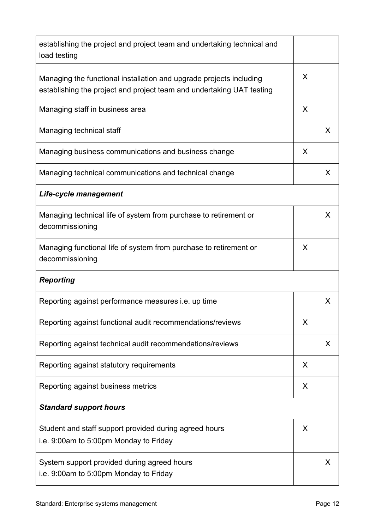| establishing the project and project team and undertaking technical and<br>load testing                                                      |   |   |
|----------------------------------------------------------------------------------------------------------------------------------------------|---|---|
| Managing the functional installation and upgrade projects including<br>establishing the project and project team and undertaking UAT testing | X |   |
| Managing staff in business area                                                                                                              | X |   |
| Managing technical staff                                                                                                                     |   | X |
| Managing business communications and business change                                                                                         | X |   |
| Managing technical communications and technical change                                                                                       |   | X |
| Life-cycle management                                                                                                                        |   |   |
| Managing technical life of system from purchase to retirement or<br>decommissioning                                                          |   | X |
| Managing functional life of system from purchase to retirement or<br>decommissioning                                                         | X |   |
| <b>Reporting</b>                                                                                                                             |   |   |
| Reporting against performance measures <i>i.e.</i> up time                                                                                   |   | X |
| Reporting against functional audit recommendations/reviews                                                                                   | X |   |
| Reporting against technical audit recommendations/reviews                                                                                    |   | X |
| Reporting against statutory requirements                                                                                                     | X |   |
| Reporting against business metrics                                                                                                           | X |   |
| <b>Standard support hours</b>                                                                                                                |   |   |
| Student and staff support provided during agreed hours<br>i.e. 9:00am to 5:00pm Monday to Friday                                             | X |   |
| System support provided during agreed hours<br>i.e. 9:00am to 5:00pm Monday to Friday                                                        |   | X |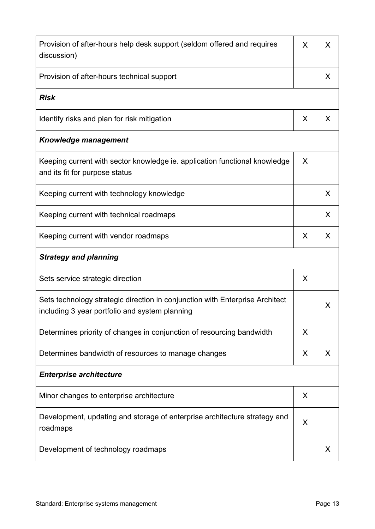| Provision of after-hours help desk support (seldom offered and requires<br>discussion)                                         | X | X |
|--------------------------------------------------------------------------------------------------------------------------------|---|---|
| Provision of after-hours technical support                                                                                     |   | X |
| <b>Risk</b>                                                                                                                    |   |   |
| Identify risks and plan for risk mitigation                                                                                    | X | X |
| <b>Knowledge management</b>                                                                                                    |   |   |
| Keeping current with sector knowledge ie. application functional knowledge<br>and its fit for purpose status                   | X |   |
| Keeping current with technology knowledge                                                                                      |   | X |
| Keeping current with technical roadmaps                                                                                        |   | X |
| Keeping current with vendor roadmaps                                                                                           | X | X |
| <b>Strategy and planning</b>                                                                                                   |   |   |
| Sets service strategic direction                                                                                               | X |   |
| Sets technology strategic direction in conjunction with Enterprise Architect<br>including 3 year portfolio and system planning |   | X |
| Determines priority of changes in conjunction of resourcing bandwidth                                                          | X |   |
| Determines bandwidth of resources to manage changes                                                                            | X | X |
| <b>Enterprise architecture</b>                                                                                                 |   |   |
| Minor changes to enterprise architecture                                                                                       | X |   |
| Development, updating and storage of enterprise architecture strategy and<br>roadmaps                                          | X |   |
| Development of technology roadmaps                                                                                             |   | X |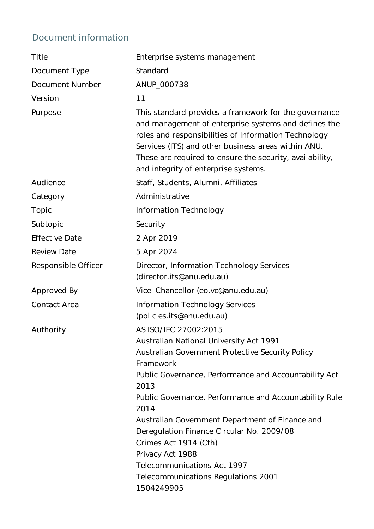## Document information

| Enterprise systems management                                                                                                                                                                                                                                                                                                                                                                                                                                                                                       |
|---------------------------------------------------------------------------------------------------------------------------------------------------------------------------------------------------------------------------------------------------------------------------------------------------------------------------------------------------------------------------------------------------------------------------------------------------------------------------------------------------------------------|
| Standard                                                                                                                                                                                                                                                                                                                                                                                                                                                                                                            |
| ANUP_000738                                                                                                                                                                                                                                                                                                                                                                                                                                                                                                         |
| 11                                                                                                                                                                                                                                                                                                                                                                                                                                                                                                                  |
| This standard provides a framework for the governance<br>and management of enterprise systems and defines the<br>roles and responsibilities of Information Technology<br>Services (ITS) and other business areas within ANU.<br>These are required to ensure the security, availability,<br>and integrity of enterprise systems.                                                                                                                                                                                    |
| Staff, Students, Alumni, Affiliates                                                                                                                                                                                                                                                                                                                                                                                                                                                                                 |
| Administrative                                                                                                                                                                                                                                                                                                                                                                                                                                                                                                      |
| Information Technology                                                                                                                                                                                                                                                                                                                                                                                                                                                                                              |
| Security                                                                                                                                                                                                                                                                                                                                                                                                                                                                                                            |
| 2 Apr 2019                                                                                                                                                                                                                                                                                                                                                                                                                                                                                                          |
| 5 Apr 2024                                                                                                                                                                                                                                                                                                                                                                                                                                                                                                          |
| Director, Information Technology Services<br>(director.its@anu.edu.au)                                                                                                                                                                                                                                                                                                                                                                                                                                              |
| Vice-Chancellor (eo.vc@anu.edu.au)                                                                                                                                                                                                                                                                                                                                                                                                                                                                                  |
| <b>Information Technology Services</b><br>(policies.its@anu.edu.au)                                                                                                                                                                                                                                                                                                                                                                                                                                                 |
| AS ISO/IEC 27002:2015<br>Australian National University Act 1991<br>Australian Government Protective Security Policy<br>Framework<br>Public Governance, Performance and Accountability Act<br>2013<br>Public Governance, Performance and Accountability Rule<br>2014<br>Australian Government Department of Finance and<br>Deregulation Finance Circular No. 2009/08<br>Crimes Act 1914 (Cth)<br>Privacy Act 1988<br><b>Telecommunications Act 1997</b><br><b>Telecommunications Regulations 2001</b><br>1504249905 |
|                                                                                                                                                                                                                                                                                                                                                                                                                                                                                                                     |